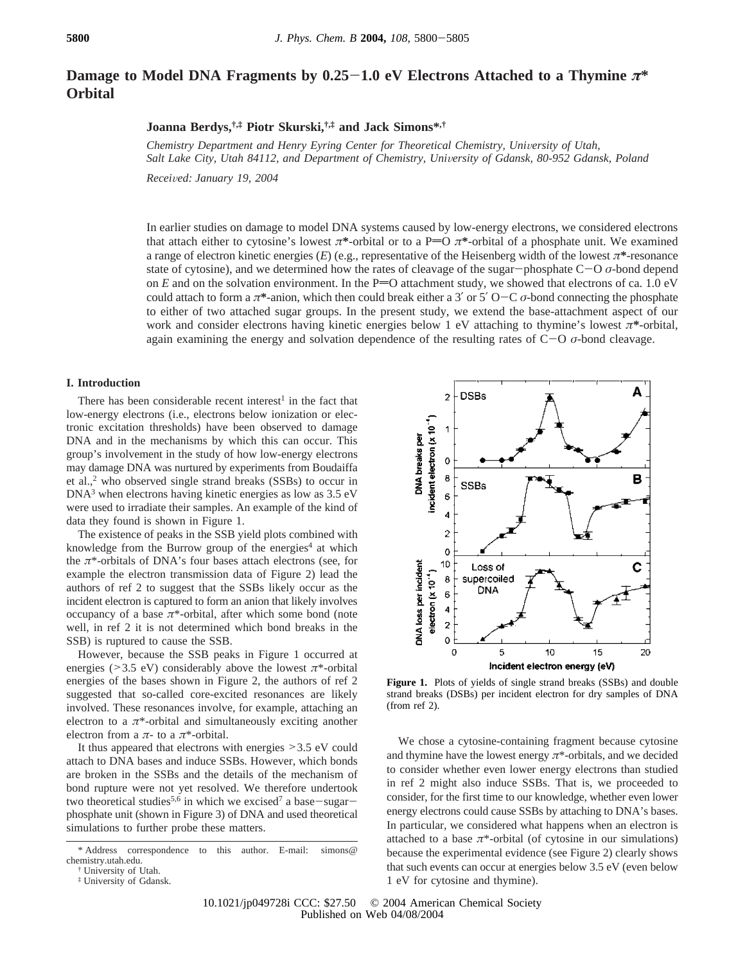# **Damage to Model DNA Fragments by 0.25**-**1.0 eV Electrons Attached to a Thymine** *<sup>π</sup>***\* Orbital**

## **Joanna Berdys,†,‡ Piotr Skurski,†,‡ and Jack Simons\*,†**

*Chemistry Department and Henry Eyring Center for Theoretical Chemistry, University of Utah,* Salt Lake City, Utah 84112, and Department of Chemistry, University of Gdansk, 80-952 Gdansk, Poland

*Recei*V*ed: January 19, 2004*

In earlier studies on damage to model DNA systems caused by low-energy electrons, we considered electrons that attach either to cytosine's lowest  $\pi^*$ -orbital or to a P=O  $\pi^*$ -orbital of a phosphate unit. We examined a range of electron kinetic energies (*E*) (e.g., representative of the Heisenberg width of the lowest *π***\***-resonance state of cytosine), and we determined how the rates of cleavage of the sugar-phosphate C-<sup>O</sup> *<sup>σ</sup>*-bond depend on  $E$  and on the solvation environment. In the P=O attachment study, we showed that electrons of ca. 1.0 eV could attach to form a  $\pi^*$ -anion, which then could break either a 3' or 5' O-C  $\sigma$ -bond connecting the phosphate to either of two attached sugar groups. In the present study, we extend the base-attachment aspect of our work and consider electrons having kinetic energies below 1 eV attaching to thymine's lowest *π***\***-orbital, again examining the energy and solvation dependence of the resulting rates of C-<sup>O</sup> *<sup>σ</sup>*-bond cleavage.

### **I. Introduction**

There has been considerable recent interest<sup>1</sup> in the fact that low-energy electrons (i.e., electrons below ionization or electronic excitation thresholds) have been observed to damage DNA and in the mechanisms by which this can occur. This group's involvement in the study of how low-energy electrons may damage DNA was nurtured by experiments from Boudaiffa et al.,<sup>2</sup> who observed single strand breaks (SSBs) to occur in DNA3 when electrons having kinetic energies as low as 3.5 eV were used to irradiate their samples. An example of the kind of data they found is shown in Figure 1.

The existence of peaks in the SSB yield plots combined with knowledge from the Burrow group of the energies<sup>4</sup> at which the *π*\*-orbitals of DNA's four bases attach electrons (see, for example the electron transmission data of Figure 2) lead the authors of ref 2 to suggest that the SSBs likely occur as the incident electron is captured to form an anion that likely involves occupancy of a base  $\pi$ \*-orbital, after which some bond (note well, in ref 2 it is not determined which bond breaks in the SSB) is ruptured to cause the SSB.

However, because the SSB peaks in Figure 1 occurred at energies ( $>3.5$  eV) considerably above the lowest  $\pi$ <sup>\*</sup>-orbital energies of the bases shown in Figure 2, the authors of ref 2 suggested that so-called core-excited resonances are likely involved. These resonances involve, for example, attaching an electron to a  $\pi$ <sup>\*</sup>-orbital and simultaneously exciting another electron from a *π*- to a *π*\*-orbital.

It thus appeared that electrons with energies >3.5 eV could attach to DNA bases and induce SSBs. However, which bonds are broken in the SSBs and the details of the mechanism of bond rupture were not yet resolved. We therefore undertook two theoretical studies<sup>5,6</sup> in which we excised<sup>7</sup> a base-sugarphosphate unit (shown in Figure 3) of DNA and used theoretical simulations to further probe these matters.



**Figure 1.** Plots of yields of single strand breaks (SSBs) and double strand breaks (DSBs) per incident electron for dry samples of DNA (from ref 2).

We chose a cytosine-containing fragment because cytosine and thymine have the lowest energy  $\pi^*$ -orbitals, and we decided to consider whether even lower energy electrons than studied in ref 2 might also induce SSBs. That is, we proceeded to consider, for the first time to our knowledge, whether even lower energy electrons could cause SSBs by attaching to DNA's bases. In particular, we considered what happens when an electron is attached to a base  $\pi^*$ -orbital (of cytosine in our simulations) because the experimental evidence (see Figure 2) clearly shows that such events can occur at energies below 3.5 eV (even below 1 eV for cytosine and thymine).

<sup>\*</sup> Address correspondence to this author. E-mail: simons@ chemistry.utah.edu.

<sup>†</sup> University of Utah.

<sup>‡</sup> University of Gdansk.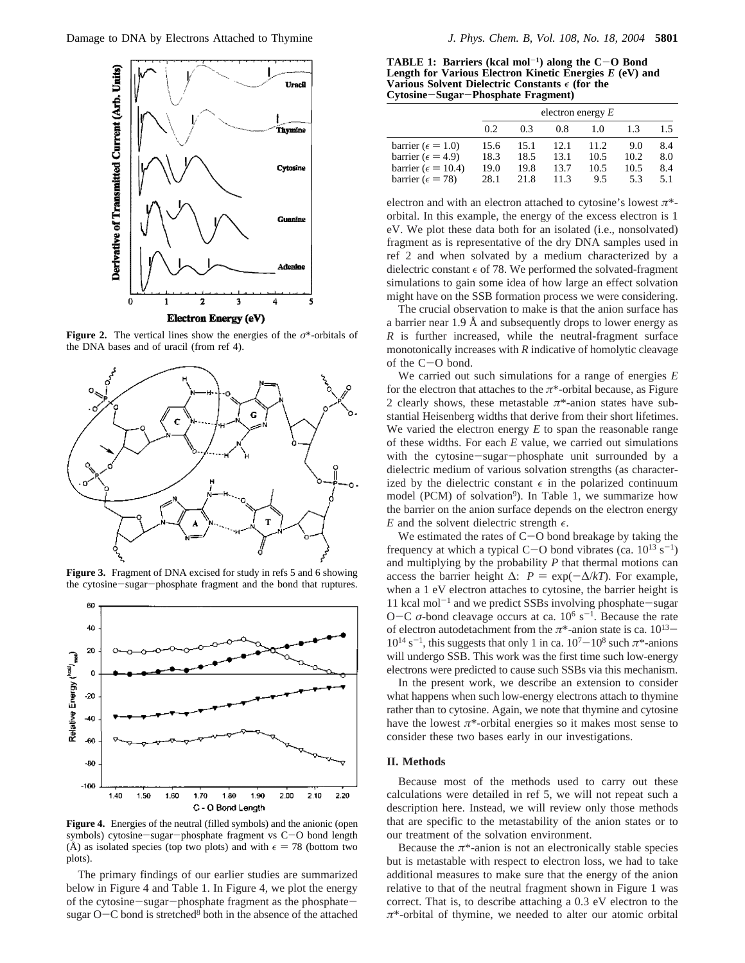

**Figure 2.** The vertical lines show the energies of the  $\sigma^*$ -orbitals of the DNA bases and of uracil (from ref 4).



**Figure 3.** Fragment of DNA excised for study in refs 5 and 6 showing the cytosine-sugar-phosphate fragment and the bond that ruptures.



**Figure 4.** Energies of the neutral (filled symbols) and the anionic (open symbols) cytosine-sugar-phosphate fragment vs C-O bond length (Å) as isolated species (top two plots) and with  $\epsilon = 78$  (bottom two plots).

The primary findings of our earlier studies are summarized below in Figure 4 and Table 1. In Figure 4, we plot the energy of the cytosine-sugar-phosphate fragment as the phosphatesugar  $O-C$  bond is stretched<sup>8</sup> both in the absence of the attached

**TABLE 1: Barriers (kcal mol<sup>-1</sup>) along the**  $C-O$  **Bond Length for Various Electron Kinetic Energies** *E* **(eV) and Various Solvent Dielectric Constants**  $\epsilon$  (for the **Cytosine**-**Sugar**-**Phosphate Fragment)**

|                              | electron energy $E$ |      |      |       |      |     |  |  |
|------------------------------|---------------------|------|------|-------|------|-----|--|--|
|                              | 0.2                 | 0.3  | 0.8  | 1.0   | 1.3  | 1.5 |  |  |
| barrier ( $\epsilon = 1.0$ ) | 15.6                | 15.1 | 12.1 | 11.2. | 9.0  | 8.4 |  |  |
| barrier ( $\epsilon$ = 4.9)  | 18.3                | 18.5 | 13.1 | 10.5  | 10.2 | 8.0 |  |  |
| barrier ( $\epsilon$ = 10.4) | 19.0                | 19.8 | 13.7 | 10.5  | 10.5 | 8.4 |  |  |
| barrier ( $\epsilon$ = 78)   | 28.1                | 21.8 | 11.3 | 9.5   | 5.3  | 5.1 |  |  |

electron and with an electron attached to cytosine's lowest *π*\* orbital. In this example, the energy of the excess electron is 1 eV. We plot these data both for an isolated (i.e., nonsolvated) fragment as is representative of the dry DNA samples used in ref 2 and when solvated by a medium characterized by a dielectric constant  $\epsilon$  of 78. We performed the solvated-fragment simulations to gain some idea of how large an effect solvation might have on the SSB formation process we were considering.

The crucial observation to make is that the anion surface has a barrier near 1.9 Å and subsequently drops to lower energy as *R* is further increased, while the neutral-fragment surface monotonically increases with *R* indicative of homolytic cleavage of the C-O bond.

We carried out such simulations for a range of energies *E* for the electron that attaches to the  $\pi^*$ -orbital because, as Figure 2 clearly shows, these metastable  $\pi^*$ -anion states have substantial Heisenberg widths that derive from their short lifetimes. We varied the electron energy *E* to span the reasonable range of these widths. For each *E* value, we carried out simulations with the cytosine-sugar-phosphate unit surrounded by a dielectric medium of various solvation strengths (as characterized by the dielectric constant  $\epsilon$  in the polarized continuum model (PCM) of solvation<sup>9</sup>). In Table 1, we summarize how the barrier on the anion surface depends on the electron energy *E* and the solvent dielectric strength  $\epsilon$ .

We estimated the rates of C-O bond breakage by taking the overcompact at which a typical C-O bond vibrates  $(c_2, 10^{13} \text{ s}^{-1})$ frequency at which a typical C-O bond vibrates (ca.  $10^{13}$  s<sup>-1</sup>) and multiplying by the probability *P* that thermal motions can and multiplying by the probability *P* that thermal motions can access the barrier height  $\Delta$ :  $P = \exp(-\Delta/kT)$ . For example, when a 1 eV electron attaches to cytosine, the barrier height is 11 kcal mol<sup>-1</sup> and we predict SSBs involving phosphate-sugar O-C σ-bond cleavage occurs at ca. 10<sup>6</sup> s<sup>-1</sup>. Because the rate of electron autodetachment from the  $\pi^*$ -anion state is ca. 10<sup>13</sup>- $10^{14}$  s<sup>-1</sup>, this suggests that only 1 in ca.  $10^{7}-10^{8}$  such  $\pi^{*}$ -anions will undergo SSB. This work was the first time such low-energy electrons were predicted to cause such SSBs via this mechanism.

In the present work, we describe an extension to consider what happens when such low-energy electrons attach to thymine rather than to cytosine. Again, we note that thymine and cytosine have the lowest  $\pi^*$ -orbital energies so it makes most sense to consider these two bases early in our investigations.

#### **II. Methods**

Because most of the methods used to carry out these calculations were detailed in ref 5, we will not repeat such a description here. Instead, we will review only those methods that are specific to the metastability of the anion states or to our treatment of the solvation environment.

Because the  $\pi$ <sup>\*</sup>-anion is not an electronically stable species but is metastable with respect to electron loss, we had to take additional measures to make sure that the energy of the anion relative to that of the neutral fragment shown in Figure 1 was correct. That is, to describe attaching a 0.3 eV electron to the *π*\*-orbital of thymine, we needed to alter our atomic orbital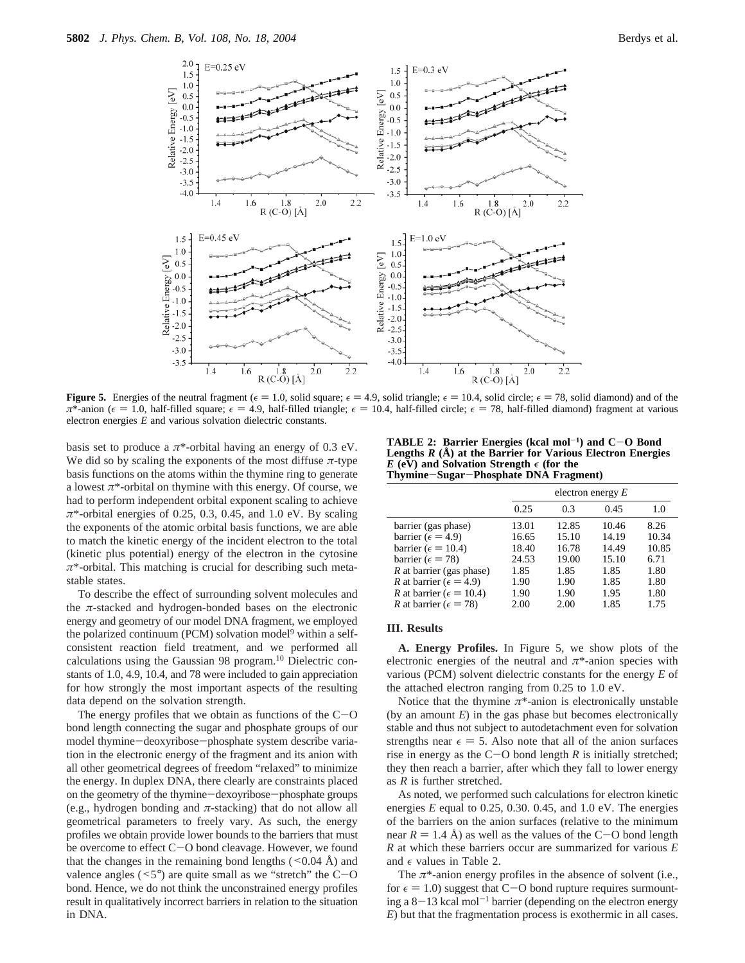

**Figure 5.** Energies of the neutral fragment ( $\epsilon = 1.0$ , solid square;  $\epsilon = 4.9$ , solid triangle;  $\epsilon = 10.4$ , solid circle;  $\epsilon = 78$ , solid diamond) and of the  $\pi^*$ -anion ( $\epsilon = 1.0$ , half-filled square;  $\epsilon = 4.9$ , half-filled triangle;  $\epsilon = 10.4$ , half-filled circle;  $\epsilon = 78$ , half-filled diamond) fragment at various electron energies *E* and various solvation dielectric constants.

basis set to produce a  $\pi^*$ -orbital having an energy of 0.3 eV. We did so by scaling the exponents of the most diffuse  $\pi$ -type basis functions on the atoms within the thymine ring to generate a lowest  $\pi^*$ -orbital on thymine with this energy. Of course, we had to perform independent orbital exponent scaling to achieve *π*\*-orbital energies of 0.25, 0.3, 0.45, and 1.0 eV. By scaling the exponents of the atomic orbital basis functions, we are able to match the kinetic energy of the incident electron to the total (kinetic plus potential) energy of the electron in the cytosine *π*\*-orbital. This matching is crucial for describing such metastable states.

To describe the effect of surrounding solvent molecules and the *π*-stacked and hydrogen-bonded bases on the electronic energy and geometry of our model DNA fragment, we employed the polarized continuum (PCM) solvation model<sup>9</sup> within a selfconsistent reaction field treatment, and we performed all calculations using the Gaussian 98 program.10 Dielectric constants of 1.0, 4.9, 10.4, and 78 were included to gain appreciation for how strongly the most important aspects of the resulting data depend on the solvation strength.

The energy profiles that we obtain as functions of the  $C-O$ bond length connecting the sugar and phosphate groups of our model thymine-deoxyribose-phosphate system describe variation in the electronic energy of the fragment and its anion with all other geometrical degrees of freedom "relaxed" to minimize the energy. In duplex DNA, there clearly are constraints placed on the geometry of the thymine-dexoyribose-phosphate groups (e.g., hydrogen bonding and  $\pi$ -stacking) that do not allow all geometrical parameters to freely vary. As such, the energy profiles we obtain provide lower bounds to the barriers that must be overcome to effect C-O bond cleavage. However, we found that the changes in the remaining bond lengths  $(< 0.04 \text{ Å})$  and valence angles  $(5^{\circ})$  are quite small as we "stretch" the C-O bond. Hence, we do not think the unconstrained energy profiles result in qualitatively incorrect barriers in relation to the situation in DNA.

**TABLE 2: Barrier Energies (kcal mol**-**1) and C**-**O Bond Lengths** *R* **(Å) at the Barrier for Various Electron Energies**  $E$  (eV) and Solvation Strength  $\epsilon$  (for the **Thymine**-**Sugar**-**Phosphate DNA Fragment)**

|                                         |       | electron energy $E$ |       |       |  |  |  |
|-----------------------------------------|-------|---------------------|-------|-------|--|--|--|
|                                         | 0.25  | 0.3                 | 0.45  | 1.0   |  |  |  |
| barrier (gas phase)                     | 13.01 | 12.85               | 10.46 | 8.26  |  |  |  |
| barrier ( $\epsilon$ = 4.9)             | 16.65 | 15.10               | 14.19 | 10.34 |  |  |  |
| barrier ( $\epsilon$ = 10.4)            | 18.40 | 16.78               | 14.49 | 10.85 |  |  |  |
| barrier ( $\epsilon$ = 78)              | 24.53 | 19.00               | 15.10 | 6.71  |  |  |  |
| $R$ at barrier (gas phase)              | 1.85  | 1.85                | 1.85  | 1.80  |  |  |  |
| <i>R</i> at barrier ( $\epsilon$ = 4.9) | 1.90  | 1.90                | 1.85  | 1.80  |  |  |  |
| R at barrier ( $\epsilon$ = 10.4)       | 1.90  | 1.90                | 1.95  | 1.80  |  |  |  |
| <i>R</i> at barrier ( $\epsilon$ = 78)  | 2.00  | 2.00                | 1.85  | 1.75  |  |  |  |
|                                         |       |                     |       |       |  |  |  |

### **III. Results**

**A. Energy Profiles.** In Figure 5, we show plots of the electronic energies of the neutral and  $\pi^*$ -anion species with various (PCM) solvent dielectric constants for the energy *E* of the attached electron ranging from 0.25 to 1.0 eV.

Notice that the thymine  $\pi^*$ -anion is electronically unstable (by an amount *E*) in the gas phase but becomes electronically stable and thus not subject to autodetachment even for solvation strengths near  $\epsilon = 5$ . Also note that all of the anion surfaces rise in energy as the  $C-O$  bond length *R* is initially stretched; they then reach a barrier, after which they fall to lower energy as *R* is further stretched.

As noted, we performed such calculations for electron kinetic energies *E* equal to 0.25, 0.30. 0.45, and 1.0 eV. The energies of the barriers on the anion surfaces (relative to the minimum near  $R = 1.4$  Å) as well as the values of the C-O bond length *R* at which these barriers occur are summarized for various *E* and  $\epsilon$  values in Table 2.

The  $\pi^*$ -anion energy profiles in the absence of solvent (i.e., for  $\epsilon = 1.0$ ) suggest that C-O bond rupture requires surmounting a  $8-13$  kcal mol<sup>-1</sup> barrier (depending on the electron energy *E*) but that the fragmentation process is exothermic in all cases.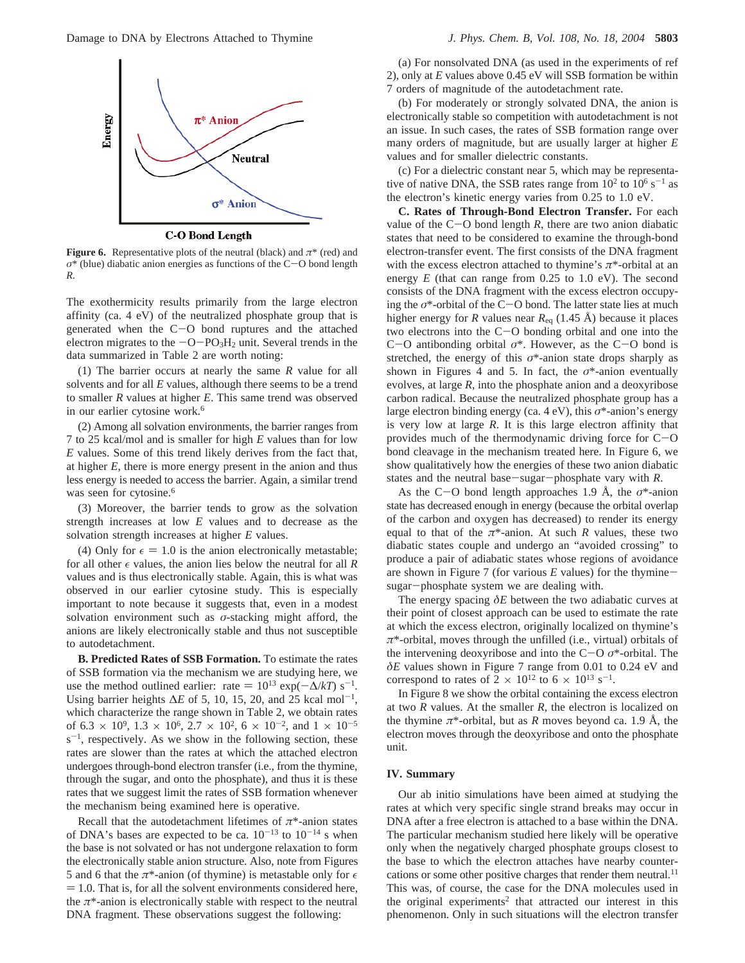

**C-O Bond Length** 

**Figure 6.** Representative plots of the neutral (black) and  $\pi^*$  (red) and *<sup>σ</sup>*\* (blue) diabatic anion energies as functions of the C-O bond length *R*.

The exothermicity results primarily from the large electron affinity (ca. 4 eV) of the neutralized phosphate group that is generated when the  $C-O$  bond ruptures and the attached electron migrates to the  $-O-PO<sub>3</sub>H<sub>2</sub>$  unit. Several trends in the data summarized in Table 2 are worth noting:

(1) The barrier occurs at nearly the same *R* value for all solvents and for all *E* values, although there seems to be a trend to smaller *R* values at higher *E*. This same trend was observed in our earlier cytosine work.<sup>6</sup>

(2) Among all solvation environments, the barrier ranges from 7 to 25 kcal/mol and is smaller for high *E* values than for low *E* values. Some of this trend likely derives from the fact that, at higher *E*, there is more energy present in the anion and thus less energy is needed to access the barrier. Again, a similar trend was seen for cytosine.<sup>6</sup>

(3) Moreover, the barrier tends to grow as the solvation strength increases at low *E* values and to decrease as the solvation strength increases at higher *E* values.

(4) Only for  $\epsilon = 1.0$  is the anion electronically metastable; for all other  $\epsilon$  values, the anion lies below the neutral for all *R* values and is thus electronically stable. Again, this is what was observed in our earlier cytosine study. This is especially important to note because it suggests that, even in a modest solvation environment such as *σ*-stacking might afford, the anions are likely electronically stable and thus not susceptible to autodetachment.

**B. Predicted Rates of SSB Formation.** To estimate the rates of SSB formation via the mechanism we are studying here, we use the method outlined earlier: rate =  $10^{13} \exp(-\Delta/kT)$  s<sup>-1</sup>. Using barrier heights  $\Delta E$  of 5, 10, 15, 20, and 25 kcal mol<sup>-1</sup>, which characterize the range shown in Table 2, we obtain rates of 6.3  $\times$  10<sup>9</sup>, 1.3  $\times$  10<sup>6</sup>, 2.7  $\times$  10<sup>2</sup>, 6  $\times$  10<sup>-2</sup>, and 1  $\times$  10<sup>-5</sup>  $s^{-1}$ , respectively. As we show in the following section, these rates are slower than the rates at which the attached electron undergoes through-bond electron transfer (i.e., from the thymine, through the sugar, and onto the phosphate), and thus it is these rates that we suggest limit the rates of SSB formation whenever the mechanism being examined here is operative.

Recall that the autodetachment lifetimes of  $\pi^*$ -anion states of DNA's bases are expected to be ca.  $10^{-13}$  to  $10^{-14}$  s when the base is not solvated or has not undergone relaxation to form the electronically stable anion structure. Also, note from Figures 5 and 6 that the  $\pi^*$ -anion (of thymine) is metastable only for  $\epsilon$  $= 1.0$ . That is, for all the solvent environments considered here, the  $\pi^*$ -anion is electronically stable with respect to the neutral DNA fragment. These observations suggest the following:

(a) For nonsolvated DNA (as used in the experiments of ref 2), only at *E* values above 0.45 eV will SSB formation be within 7 orders of magnitude of the autodetachment rate.

(b) For moderately or strongly solvated DNA, the anion is electronically stable so competition with autodetachment is not an issue. In such cases, the rates of SSB formation range over many orders of magnitude, but are usually larger at higher *E* values and for smaller dielectric constants.

(c) For a dielectric constant near 5, which may be representative of native DNA, the SSB rates range from  $10^2$  to  $10^6$  s<sup>-1</sup> as the electron's kinetic energy varies from 0.25 to 1.0 eV.

**C. Rates of Through-Bond Electron Transfer.** For each value of the  $C-O$  bond length *R*, there are two anion diabatic states that need to be considered to examine the through-bond electron-transfer event. The first consists of the DNA fragment with the excess electron attached to thymine's *π*\*-orbital at an energy *E* (that can range from 0.25 to 1.0 eV). The second consists of the DNA fragment with the excess electron occupying the  $\sigma^*$ -orbital of the C-O bond. The latter state lies at much higher energy for *R* values near  $R_{eq}$  (1.45 Å) because it places two electrons into the C-O bonding orbital and one into the <sup>C</sup>-O antibonding orbital *<sup>σ</sup>*\*. However, as the C-O bond is stretched, the energy of this  $\sigma^*$ -anion state drops sharply as shown in Figures 4 and 5. In fact, the  $\sigma^*$ -anion eventually evolves, at large *R*, into the phosphate anion and a deoxyribose carbon radical. Because the neutralized phosphate group has a large electron binding energy (ca. 4 eV), this *σ*\*-anion's energy is very low at large *R*. It is this large electron affinity that provides much of the thermodynamic driving force for  $C$ -O bond cleavage in the mechanism treated here. In Figure 6, we show qualitatively how the energies of these two anion diabatic states and the neutral base-sugar-phosphate vary with *<sup>R</sup>*.

As the C-O bond length approaches 1.9 Å, the *<sup>σ</sup>*\*-anion state has decreased enough in energy (because the orbital overlap of the carbon and oxygen has decreased) to render its energy equal to that of the  $\pi^*$ -anion. At such *R* values, these two diabatic states couple and undergo an "avoided crossing" to produce a pair of adiabatic states whose regions of avoidance are shown in Figure 7 (for various *<sup>E</sup>* values) for the thyminesugar-phosphate system we are dealing with.

The energy spacing *δE* between the two adiabatic curves at their point of closest approach can be used to estimate the rate at which the excess electron, originally localized on thymine's *π*\*-orbital, moves through the unfilled (i.e., virtual) orbitals of the intervening deoxyribose and into the C-<sup>O</sup> *<sup>σ</sup>*\*-orbital. The *δE* values shown in Figure 7 range from 0.01 to 0.24 eV and correspond to rates of  $2 \times 10^{12}$  to  $6 \times 10^{13}$  s<sup>-1</sup>.

In Figure 8 we show the orbital containing the excess electron at two *R* values. At the smaller *R*, the electron is localized on the thymine  $\pi^*$ -orbital, but as *R* moves beyond ca. 1.9 Å, the electron moves through the deoxyribose and onto the phosphate unit.

#### **IV. Summary**

Our ab initio simulations have been aimed at studying the rates at which very specific single strand breaks may occur in DNA after a free electron is attached to a base within the DNA. The particular mechanism studied here likely will be operative only when the negatively charged phosphate groups closest to the base to which the electron attaches have nearby countercations or some other positive charges that render them neutral.<sup>11</sup> This was, of course, the case for the DNA molecules used in the original experiments<sup>2</sup> that attracted our interest in this phenomenon. Only in such situations will the electron transfer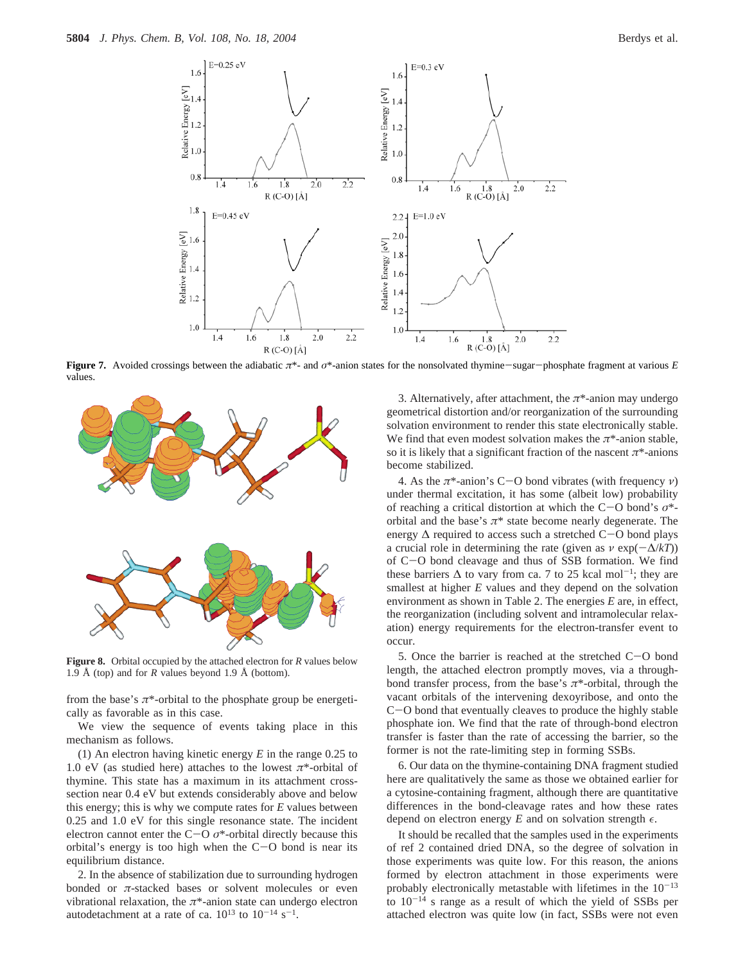

**Figure 7.** Avoided crossings between the adiabatic *<sup>π</sup>*\*- and *<sup>σ</sup>*\*-anion states for the nonsolvated thymine-sugar-phosphate fragment at various *<sup>E</sup>* values.



**Figure 8.** Orbital occupied by the attached electron for *R* values below 1.9 Å (top) and for *R* values beyond 1.9 Å (bottom).

from the base's  $\pi^*$ -orbital to the phosphate group be energetically as favorable as in this case.

We view the sequence of events taking place in this mechanism as follows.

(1) An electron having kinetic energy *E* in the range 0.25 to 1.0 eV (as studied here) attaches to the lowest  $\pi^*$ -orbital of thymine. This state has a maximum in its attachment crosssection near 0.4 eV but extends considerably above and below this energy; this is why we compute rates for *E* values between 0.25 and 1.0 eV for this single resonance state. The incident electron cannot enter the C-O  $\sigma^*$ -orbital directly because this orbital's energy is too high when the  $C-O$  bond is near its equilibrium distance.

2. In the absence of stabilization due to surrounding hydrogen bonded or *π*-stacked bases or solvent molecules or even vibrational relaxation, the  $\pi^*$ -anion state can undergo electron autodetachment at a rate of ca.  $10^{13}$  to  $10^{-14}$  s<sup>-1</sup>.

3. Alternatively, after attachment, the *π*\*-anion may undergo geometrical distortion and/or reorganization of the surrounding solvation environment to render this state electronically stable. We find that even modest solvation makes the *π*\*-anion stable, so it is likely that a significant fraction of the nascent  $\pi^*$ -anions become stabilized.

4. As the *<sup>π</sup>*\*-anion's C-O bond vibrates (with frequency *<sup>ν</sup>*) under thermal excitation, it has some (albeit low) probability of reaching a critical distortion at which the C-O bond's *<sup>σ</sup>*\* orbital and the base's  $\pi^*$  state become nearly degenerate. The energy  $\Delta$  required to access such a stretched C-O bond plays a crucial role in determining the rate (given as  $\nu \exp(-\Delta/kT)$ ) of C-O bond cleavage and thus of SSB formation. We find these barriers  $\Delta$  to vary from ca. 7 to 25 kcal mol<sup>-1</sup>; they are smallest at higher *E* values and they depend on the solvation environment as shown in Table 2. The energies *E* are, in effect, the reorganization (including solvent and intramolecular relaxation) energy requirements for the electron-transfer event to occur.

5. Once the barrier is reached at the stretched C-O bond length, the attached electron promptly moves, via a throughbond transfer process, from the base's  $\pi^*$ -orbital, through the vacant orbitals of the intervening dexoyribose, and onto the <sup>C</sup>-O bond that eventually cleaves to produce the highly stable phosphate ion. We find that the rate of through-bond electron transfer is faster than the rate of accessing the barrier, so the former is not the rate-limiting step in forming SSBs.

6. Our data on the thymine-containing DNA fragment studied here are qualitatively the same as those we obtained earlier for a cytosine-containing fragment, although there are quantitative differences in the bond-cleavage rates and how these rates depend on electron energy  $E$  and on solvation strength  $\epsilon$ .

It should be recalled that the samples used in the experiments of ref 2 contained dried DNA, so the degree of solvation in those experiments was quite low. For this reason, the anions formed by electron attachment in those experiments were probably electronically metastable with lifetimes in the  $10^{-13}$ to  $10^{-14}$  s range as a result of which the yield of SSBs per attached electron was quite low (in fact, SSBs were not even